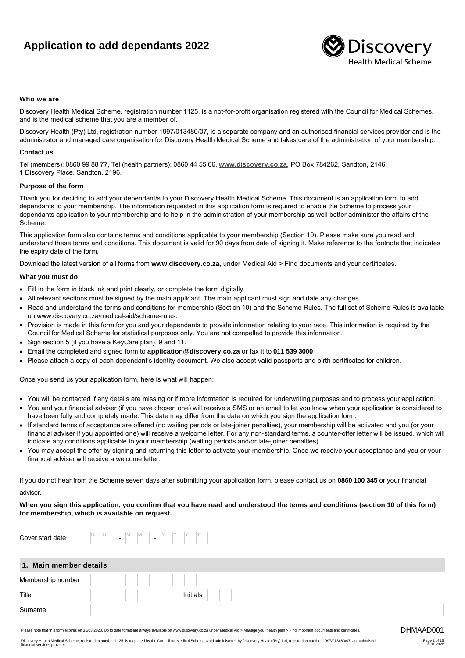# **Application to add dependants 2022**



# **Who we are**

Discovery Health Medical Scheme, registration number 1125, is a not-for-profit organisation registered with the Council for Medical Schemes, and is the medical scheme that you are a member of.

Discovery Health (Pty) Ltd, registration number 1997/013480/07, is a separate company and an authorised financial services provider and is the administrator and managed care organisation for Discovery Health Medical Scheme and takes care of the administration of your membership.

# **Contact us**

Tel (members): 0860 99 88 77, Tel (health partners): 0860 44 55 66, **[www.discovery.co.za](http://www.discovery.co.za)**, PO Box 784262, Sandton, 2146, 1 Discovery Place, Sandton, 2196.

# **Purpose of the form**

Thank you for deciding to add your dependant/s to your Discovery Health Medical Scheme. This document is an application form to add dependants to your membership. The information requested in this application form is required to enable the Scheme to process your dependants application to your membership and to help in the administration of your membership as well better administer the affairs of the Scheme.

This application form also contains terms and conditions applicable to your membership (Section 10). Please make sure you read and understand these terms and conditions. This document is valid for 90 days from date of signing it. Make reference to the footnote that indicates the expiry date of the form.

Download the latest version of all forms from **www.discovery.co.za**, under Medical Aid > Find documents and your certificates.

# **What you must do**

- Fill in the form in black ink and print clearly, or complete the form digitally.
- All relevant sections must be signed by the main applicant. The main applicant must sign and date any changes.
- Read and understand the terms and conditions for membership (Section 10) and the Scheme Rules. The full set of Scheme Rules is available on www.discovery.co.za/medical-aid/scheme-rules.
- Provision is made in this form for you and your dependants to provide information relating to your race. This information is required by the Council for Medical Scheme for statistical purposes only. You are not compelled to provide this information.
- Sign section 5 (if you have a KeyCare plan), 9 and 11.
- Email the completed and signed form to **application@discovery.co.za** or fax it to **011 539 3000**
- Please attach a copy of each dependant's identity document. We also accept valid passports and birth certificates for children.

Once you send us your application form, here is what will happen:

- You will be contacted if any details are missing or if more information is required for underwriting purposes and to process your application.
- You and your financial adviser (if you have chosen one) will receive a SMS or an email to let you know when your application is considered to have been fully and completely made. This date may differ from the date on which you sign the application form.
- If standard terms of acceptance are offered (no waiting periods or late-joiner penalties), your membership will be activated and you (or your financial adviser if you appointed one) will receive a welcome letter. For any non-standard terms, a counter-offer letter will be issued, which will indicate any conditions applicable to your membership (waiting periods and/or late-joiner penalties).
- You may accept the offer by signing and returning this letter to activate your membership. Once we receive your acceptance and you or your financial adviser will receive a welcome letter.

If you do not hear from the Scheme seven days after submitting your application form, please contact us on **0860 100 345** or your financial adviser.

# **When you sign this application, you confirm that you have read and understood the terms and conditions (section 10 of this form) for membership, which is available on request.**

| Cover start date       | M<br>ΙM<br>$\blacksquare$<br>$\overline{\phantom{a}}$ |                                                                                                                                                                                                         |           |
|------------------------|-------------------------------------------------------|---------------------------------------------------------------------------------------------------------------------------------------------------------------------------------------------------------|-----------|
| 1. Main member details |                                                       |                                                                                                                                                                                                         |           |
| Membership number      |                                                       |                                                                                                                                                                                                         |           |
| Title                  |                                                       | Initials                                                                                                                                                                                                |           |
| Surname                |                                                       |                                                                                                                                                                                                         |           |
|                        |                                                       | Please note that this form expires on 31/03/2023. Up to date forms are always available on www.discovery.co.za under Medical Aid > Manage your health plan > Find important documents and certificates. | DHMAAD001 |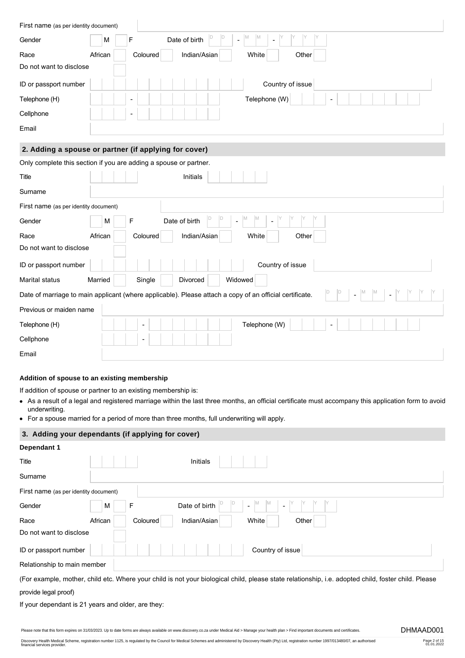| First name (as per identity document) |                                                                                                         |
|---------------------------------------|---------------------------------------------------------------------------------------------------------|
| Gender                                | M<br>M<br>F<br>Date of birth<br>M<br>$\overline{a}$                                                     |
| Race                                  | African<br>Indian/Asian<br>Coloured<br>White<br>Other                                                   |
| Do not want to disclose               |                                                                                                         |
| ID or passport number                 | Country of issue                                                                                        |
| Telephone (H)                         | Telephone (W)                                                                                           |
| Cellphone                             |                                                                                                         |
| Email                                 |                                                                                                         |
|                                       | 2. Adding a spouse or partner (if applying for cover)                                                   |
|                                       | Only complete this section if you are adding a spouse or partner.                                       |
| Title                                 | Initials                                                                                                |
| Surname                               |                                                                                                         |
| First name (as per identity document) |                                                                                                         |
| Gender                                | M<br>M<br>F<br>Date of birth<br>M<br>$\blacksquare$                                                     |
| Race                                  | Indian/Asian<br>African<br>Coloured<br>White<br>Other                                                   |
| Do not want to disclose               |                                                                                                         |
| ID or passport number                 | Country of issue                                                                                        |
| Marital status                        | Widowed<br>Married<br>Single<br>Divorced                                                                |
|                                       | Date of marriage to main applicant (where applicable). Please attach a copy of an official certificate. |
| Previous or maiden name               |                                                                                                         |
| Telephone (H)                         | Telephone (W)                                                                                           |
| Cellphone                             | $\sim$                                                                                                  |
| Email                                 |                                                                                                         |

# **Addition of spouse to an existing membership**

If addition of spouse or partner to an existing membership is:

- As a result of a legal and registered marriage within the last three months, an official certificate must accompany this application form to avoid underwriting.
- For a spouse married for a period of more than three months, full underwriting will apply.

# **3. Adding your dependants (if applying for cover)**

| Dependant 1                                        |                                                                                                                                                     |
|----------------------------------------------------|-----------------------------------------------------------------------------------------------------------------------------------------------------|
| Title                                              | Initials                                                                                                                                            |
| Surname                                            |                                                                                                                                                     |
| First name (as per identity document)              |                                                                                                                                                     |
| Gender                                             | Date of birth<br>F<br>M                                                                                                                             |
| Race                                               | African<br>Indian/Asian<br>Other<br>Coloured<br>White                                                                                               |
| Do not want to disclose                            |                                                                                                                                                     |
| ID or passport number                              | Country of issue                                                                                                                                    |
| Relationship to main member                        |                                                                                                                                                     |
|                                                    | (For example, mother, child etc. Where your child is not your biological child, please state relationship, i.e. adopted child, foster child. Please |
| provide legal proof)                               |                                                                                                                                                     |
| If your dependant is 21 years and older, are they: |                                                                                                                                                     |

Please note that this form expires on 31/03/2023. Up to date forms are always available on www.discovery.co.za under Medical Aid > Manage your health plan > Find important documents and certificates. DHMAAD001

Page 2 of 15 01.01.2022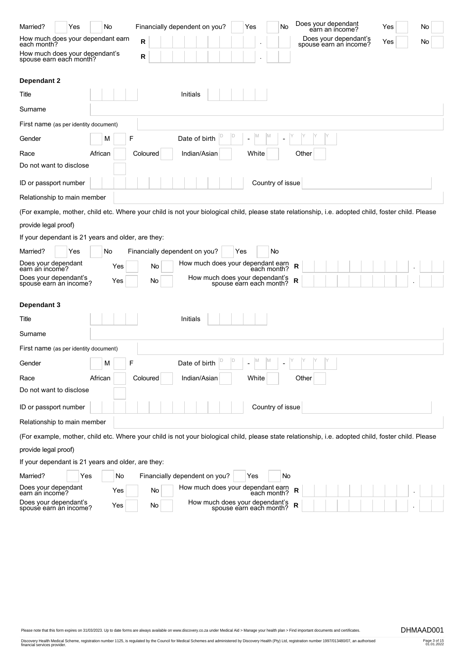| Married?<br>Yes                                           | No.     | Financially dependent on you?                                                                                                                       | No<br>Yes                           | Does your dependant<br>earn an income?          | Yes<br>No |
|-----------------------------------------------------------|---------|-----------------------------------------------------------------------------------------------------------------------------------------------------|-------------------------------------|-------------------------------------------------|-----------|
| How much does your dependant earn<br>each month?          |         | R                                                                                                                                                   |                                     | Does your dependant's<br>spouse earn an income? | Yes<br>No |
| How much does your dependant's<br>spouse earn each month? |         | R                                                                                                                                                   |                                     |                                                 |           |
| Dependant 2                                               |         |                                                                                                                                                     |                                     |                                                 |           |
| Title                                                     |         | Initials                                                                                                                                            |                                     |                                                 |           |
| Surname                                                   |         |                                                                                                                                                     |                                     |                                                 |           |
| First name (as per identity document)                     |         |                                                                                                                                                     |                                     |                                                 |           |
| Gender                                                    | M       | F<br>Date of birth                                                                                                                                  |                                     |                                                 |           |
| Race                                                      | African | Indian/Asian<br>Coloured                                                                                                                            | White                               | Other                                           |           |
| Do not want to disclose                                   |         |                                                                                                                                                     |                                     |                                                 |           |
| ID or passport number                                     |         |                                                                                                                                                     | Country of issue                    |                                                 |           |
| Relationship to main member                               |         |                                                                                                                                                     |                                     |                                                 |           |
|                                                           |         | (For example, mother, child etc. Where your child is not your biological child, please state relationship, i.e. adopted child, foster child. Please |                                     |                                                 |           |
| provide legal proof)                                      |         |                                                                                                                                                     |                                     |                                                 |           |
| If your dependant is 21 years and older, are they:        |         |                                                                                                                                                     |                                     |                                                 |           |
| Married?<br>Yes                                           | No      | Financially dependent on you?                                                                                                                       | No<br>Yes                           |                                                 |           |
| Does your dependant<br>earn an income?                    | Yes     | How much does your dependant earn<br>No                                                                                                             | each month?                         | R                                               |           |
| Does your dependant's<br>spouse earn an income?           | Yes     | How much does your dependant's<br>Νo                                                                                                                | spouse earn each month?             | R                                               |           |
|                                                           |         |                                                                                                                                                     |                                     |                                                 |           |
| Dependant 3                                               |         |                                                                                                                                                     |                                     |                                                 |           |
| Title                                                     |         | Initials                                                                                                                                            |                                     |                                                 |           |
| Surname                                                   |         |                                                                                                                                                     |                                     |                                                 |           |
| First name (as per identity document)                     |         |                                                                                                                                                     |                                     |                                                 |           |
| Gender                                                    | M       | F<br>Date of birth                                                                                                                                  | M<br>ΙM<br>$\overline{\phantom{a}}$ |                                                 |           |
| Race                                                      | African | Indian/Asian<br>Coloured                                                                                                                            | White                               | Other                                           |           |
| Do not want to disclose                                   |         |                                                                                                                                                     |                                     |                                                 |           |
| ID or passport number                                     |         |                                                                                                                                                     | Country of issue                    |                                                 |           |
| Relationship to main member                               |         |                                                                                                                                                     |                                     |                                                 |           |
|                                                           |         | (For example, mother, child etc. Where your child is not your biological child, please state relationship, i.e. adopted child, foster child. Please |                                     |                                                 |           |
| provide legal proof)                                      |         |                                                                                                                                                     |                                     |                                                 |           |
| If your dependant is 21 years and older, are they:        |         |                                                                                                                                                     |                                     |                                                 |           |
| Married?<br>Yes                                           | No      | Financially dependent on you?                                                                                                                       | No<br>Yes                           |                                                 |           |
| Does your dependant<br>earn an income?                    | Yes     | How much does your dependant earn<br>each month?<br>No                                                                                              |                                     | R                                               |           |
| Does your dependant's<br>spouse earn an income?           | Yes     | How much does your dependant's<br>spouse earn each month?<br>No.                                                                                    |                                     | R                                               |           |

Page 3 of 15 01.01.2022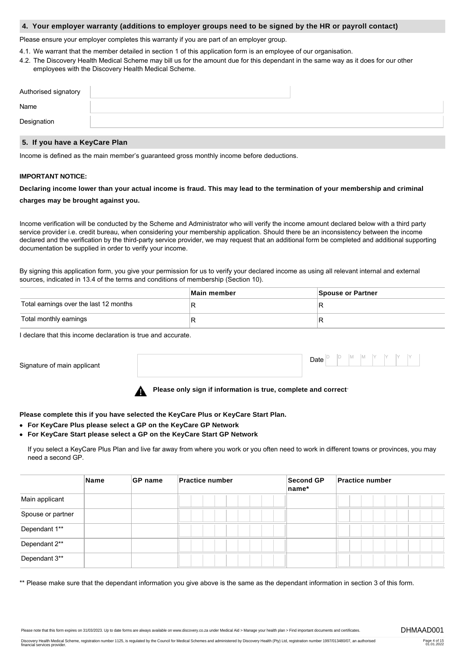# **4. Your employer warranty (additions to employer groups need to be signed by the HR or payroll contact)**

Please ensure your employer completes this warranty if you are part of an employer group.

- 4.1. We warrant that the member detailed in section 1 of this application form is an employee of our organisation.
- 4.2. The Discovery Health Medical Scheme may bill us for the amount due for this dependant in the same way as it does for our other employees with the Discovery Health Medical Scheme.

| Authorised signatory |  |
|----------------------|--|
| Name                 |  |
| Designation          |  |

# **5. If you have a KeyCare Plan**

Income is defined as the main member's guaranteed gross monthly income before deductions.

# **IMPORTANT NOTICE:**

# **Declaring income lower than your actual income is fraud. This may lead to the termination of your membership and criminal charges may be brought against you.**

Income verification will be conducted by the Scheme and Administrator who will verify the income amount declared below with a third party service provider i.e. credit bureau, when considering your membership application. Should there be an inconsistency between the income declared and the verification by the third-party service provider, we may request that an additional form be completed and additional supporting documentation be supplied in order to verify your income.

By signing this application form, you give your permission for us to verify your declared income as using all relevant internal and external sources, indicated in 13.4 of the terms and conditions of membership (Section 10).

|                                        | Main member | Spouse or Partner |
|----------------------------------------|-------------|-------------------|
| Total earnings over the last 12 months |             |                   |
| Total monthly earnings                 |             |                   |

I declare that this income declaration is true and accurate.

Signature of main applicant

Date  $|_{}^{\circ}$ D D M M Y Y Y Y

**Please only sign if information is true, complete and correct**.

**Please complete this if you have selected the KeyCare Plus or KeyCare Start Plan.**

- **For KeyCare Plus please select a GP on the KeyCare GP Network**
- **For KeyCare Start please select a GP on the KeyCare Start GP Network**

If you select a KeyCare Plus Plan and live far away from where you work or you often need to work in different towns or provinces, you may need a second GP.

|                   | Name | <b>GP</b> name | <b>Practice number</b> | <b>Second GP</b><br>name* | <b>Practice number</b> |
|-------------------|------|----------------|------------------------|---------------------------|------------------------|
| Main applicant    |      |                |                        |                           |                        |
| Spouse or partner |      |                |                        |                           |                        |
| Dependant 1**     |      |                |                        |                           |                        |
| Dependant 2**     |      |                |                        |                           |                        |
| Dependant 3**     |      |                |                        |                           |                        |

\*\* Please make sure that the dependant information you give above is the same as the dependant information in section 3 of this form.

Please note that this form expires on 31/03/2023. Up to date forms are always available on www.discovery.co.za under Medical Aid > Manage your health plan > Find important documents and certificates. DHMAAD001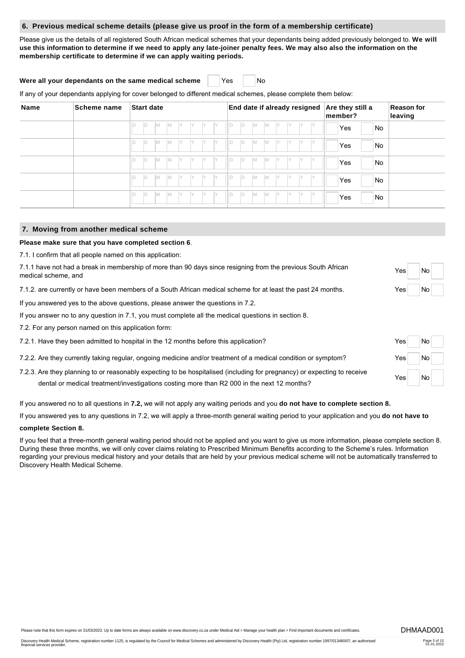# **6. Previous medical scheme details (please give us proof in the form of a membership certificate)**

Please give us the details of all registered South African medical schemes that your dependants being added previously belonged to. **We will use this information to determine if we need to apply any late-joiner penalty fees. We may also also the information on the membership certificate to determine if we can apply waiting periods.**

# **Were all your dependants on the same medical scheme** Yes | No

If any of your dependants applying for cover belonged to different medical schemes, please complete them below:

| Name | Scheme name | <b>Start date</b>                               | End date if already resigned                      | Are they still a<br>member? | <b>Reason for</b><br>leaving |
|------|-------------|-------------------------------------------------|---------------------------------------------------|-----------------------------|------------------------------|
|      |             | IM.<br>IM.<br>ID<br>İY.<br>IY<br>Y              | ID<br>M<br>ID<br>M<br>- IY<br>Y<br>IY.            | <b>No</b><br>Yes            |                              |
|      |             | IM.<br>ID<br>IM.<br>IY.<br>- IY                 | ID<br>Id<br>IM.<br>IY.<br>IM.<br>Y<br>IY.         | No<br>Yes                   |                              |
|      |             | M<br>ID<br>IM.<br>IY                            | D<br>ID<br>Iм<br>IY.<br>Y<br>M<br>Υ               | No<br>Yes                   |                              |
|      |             | M<br>ID<br>IM.<br>IY<br>Y                       | D<br>Iм<br>IY.<br>ID<br>IY.<br>Y<br>M<br>Υ        | No<br>Yes                   |                              |
|      |             | IM.<br>ID<br>IM.<br>IY<br>İY.<br>IY<br>IV.<br>υ | D<br>IY.<br>ID<br>Y<br><b>IM</b><br>IY.<br>M<br>Y | No<br>Yes                   |                              |

# **7. Moving from another medical scheme**

# **Please make sure that you have completed section 6**.

7.1. I confirm that all people named on this application:

| 7.1.1 have not had a break in membership of more than 90 days since resigning from the previous South African<br>medical scheme, and                                                                                   | Yes | <b>No</b> |  |
|------------------------------------------------------------------------------------------------------------------------------------------------------------------------------------------------------------------------|-----|-----------|--|
| 7.1.2, are currently or have been members of a South African medical scheme for at least the past 24 months.                                                                                                           | Yes | No        |  |
| If you answered yes to the above questions, please answer the questions in 7.2.                                                                                                                                        |     |           |  |
| If you answer no to any question in 7.1, you must complete all the medical questions in section 8.                                                                                                                     |     |           |  |
| 7.2. For any person named on this application form:                                                                                                                                                                    |     |           |  |
| 7.2.1. Have they been admitted to hospital in the 12 months before this application?                                                                                                                                   | Yes | No        |  |
| 7.2.2. Are they currently taking regular, ongoing medicine and/or treatment of a medical condition or symptom?                                                                                                         | Yes | No        |  |
| 7.2.3. Are they planning to or reasonably expecting to be hospitalised (including for pregnancy) or expecting to receive<br>dental or medical treatment/investigations costing more than R2 000 in the next 12 months? | Yes | <b>No</b> |  |

If you answered no to all questions in **7.2,** we will not apply any waiting periods and you **do not have to complete section 8.**

If you answered yes to any questions in 7.2, we will apply a three-month general waiting period to your application and you **do not have to**

# **complete Section 8.**

If you feel that a three-month general waiting period should not be applied and you want to give us more information, please complete section 8. During these three months, we will only cover claims relating to Prescribed Minimum Benefits according to the Scheme's rules. Information regarding your previous medical history and your details that are held by your previous medical scheme will not be automatically transferred to Discovery Health Medical Scheme.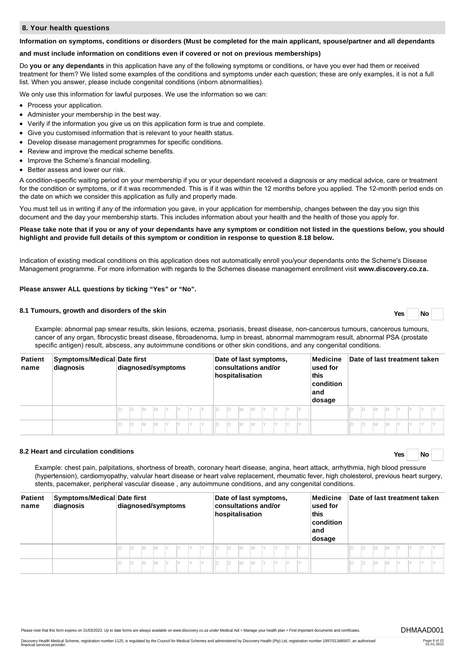# **8. Your health questions**

#### **Information on symptoms, conditions or disorders (Must be completed for the main applicant, spouse/partner and all dependants**

#### **and must include information on conditions even if covered or not on previous memberships)**

Do **you or any dependants** in this application have any of the following symptoms or conditions, or have you ever had them or received treatment for them? We listed some examples of the conditions and symptoms under each question; these are only examples, it is not a full list. When you answer, please include congenital conditions (inborn abnormalities).

We only use this information for lawful purposes. We use the information so we can:

- Process your application.
- Administer your membership in the best way.
- Verify if the information you give us on this application form is true and complete.
- Give you customised information that is relevant to your health status.
- Develop disease management programmes for specific conditions.
- Review and improve the medical scheme benefits.
- Improve the Scheme's financial modelling.
- Better assess and lower our risk.

A condition-specific waiting period on your membership if you or your dependant received a diagnosis or any medical advice, care or treatment for the condition or symptoms, or if it was recommended. This is if it was within the 12 months before you applied. The 12-month period ends on the date on which we consider this application as fully and properly made.

You must tell us in writing if any of the information you gave, in your application for membership, changes between the day you sign this document and the day your membership starts. This includes information about your health and the health of those you apply for.

### **Please take note that if you or any of your dependants have any symptom or condition not listed in the questions below, you should highlight and provide full details of this symptom or condition in response to question 8.18 below.**

Indication of existing medical conditions on this application does not automatically enroll you/your dependants onto the Scheme's Disease Management programme. For more information with regards to the Schemes disease management enrollment visit **[www.discovery.co](http://www.discovery.co).za.**

# **Please answer ALL questions by ticking "Yes" or "No".**

# **8.1 Tumours, growth and disorders of the skin Yes No**

Example: abnormal pap smear results, skin lesions, eczema, psoriasis, breast disease, non-cancerous tumours, cancerous tumours, cancer of any organ, fibrocystic breast disease, fibroadenoma, lump in breast, abnormal mammogram result, abnormal PSA (prostate specific antigen) result, abscess, any autoimmune conditions or other skin conditions, and any congenital conditions.

| <b>Patient</b><br>name | Symptoms/Medical Date first<br>diagnosis | diagnosed/symptoms           | Date of last symptoms,<br>Medicine<br>consultations and/or<br>used for<br>this<br>hospitalisation<br>condition<br>∣and<br>dosage | Date of last treatment taken |
|------------------------|------------------------------------------|------------------------------|----------------------------------------------------------------------------------------------------------------------------------|------------------------------|
|                        |                                          | IY.<br>IY<br>$\vee$          | . O .<br>M<br>IY                                                                                                                 | ID<br>Iм                     |
|                        |                                          | $\checkmark$<br>IY<br>M<br>M | IV<br>M                                                                                                                          | ID<br>ΙM                     |

# **8.2 Heart and circulation conditions Yes No**

Example: chest pain, palpitations, shortness of breath, coronary heart disease, angina, heart attack, arrhythmia, high blood pressure (hypertension), cardiomyopathy, valvular heart disease or heart valve replacement, rheumatic fever, high cholesterol, previous heart surgery, stents, pacemaker, peripheral vascular disease , any autoimmune conditions, and any congenital conditions.

| <b>Patient</b><br>name | Symptoms/Medical Date first<br>diagnosis | diagnosed/symptoms | Medicine<br>Date of last symptoms,<br>consultations and/or<br>used for<br>hospitalisation<br>this<br>condition<br>land<br>dosage | Date of last treatment taken |
|------------------------|------------------------------------------|--------------------|----------------------------------------------------------------------------------------------------------------------------------|------------------------------|
|                        |                                          | IY.<br>- IY<br>M   | M                                                                                                                                | D<br>IМ                      |
|                        |                                          | M                  |                                                                                                                                  | ID<br>Iм                     |

Please note that this form expires on 31/03/2023. Up to date forms are always available on www.discovery.co.za under Medical Aid > Manage your health plan > Find important documents and certificates. DHMAAD001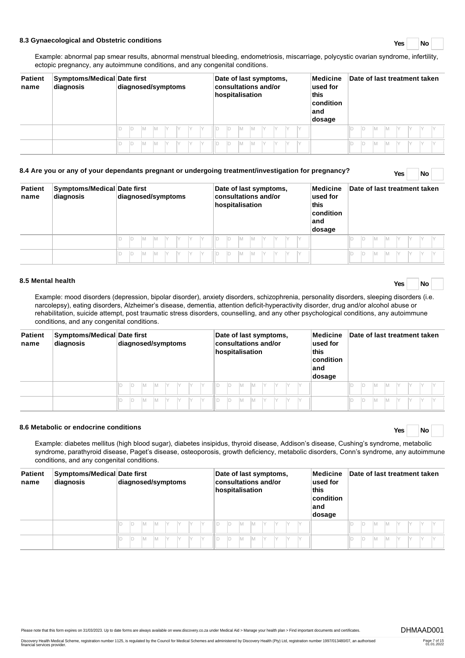# **8.3 Gynaecological and Obstetric conditions Yes No**

Example: abnormal pap smear results, abnormal menstrual bleeding, endometriosis, miscarriage, polycystic ovarian syndrome, infertility, ectopic pregnancy, any autoimmune conditions, and any congenital conditions.

| <b>Patient</b><br>name | Symptoms/Medical Date first<br>diagnosis | diagnosed/symptoms | Medicine<br>Date of last symptoms,<br>consultations and/or<br>used for<br>hospitalisation<br>this<br>condition<br>∣and<br>dosage | Date of last treatment taken |
|------------------------|------------------------------------------|--------------------|----------------------------------------------------------------------------------------------------------------------------------|------------------------------|
|                        |                                          | $\vee$<br>M<br>M   | IY.<br>IV<br>IY<br>IY.<br>Iм<br>M                                                                                                | IM.<br>M                     |
|                        |                                          | M<br>'M            | IY<br>M<br>IY<br>IY<br>M                                                                                                         | ID<br>ΙM<br>Iм               |

| <b>Patient</b><br>name | Symptoms/Medical Date first<br>diagnosis | diagnosed/symptoms |  |  |   |  | Date of last symptoms,<br><b>consultations and/or</b><br>hospitalisation |  |  |  |  |   |  | Medicine<br>used for<br>this<br>$ $ condition<br>∣and<br>dosage | Date of last treatment taken |  |  |  |  |    |   |  |  |  |  |
|------------------------|------------------------------------------|--------------------|--|--|---|--|--------------------------------------------------------------------------|--|--|--|--|---|--|-----------------------------------------------------------------|------------------------------|--|--|--|--|----|---|--|--|--|--|
|                        |                                          |                    |  |  |   |  |                                                                          |  |  |  |  |   |  |                                                                 |                              |  |  |  |  |    |   |  |  |  |  |
|                        |                                          |                    |  |  | M |  |                                                                          |  |  |  |  | M |  |                                                                 |                              |  |  |  |  | ID | M |  |  |  |  |

**8.4 Are you or any of your dependants pregnant or undergoing treatment/investigation for pregnancy? Yes No**

# **8.5 Mental health Yes No**

Example: mood disorders (depression, bipolar disorder), anxiety disorders, schizophrenia, personality disorders, sleeping disorders (i.e. narcolepsy), eating disorders, Alzheimer's disease, dementia, attention deficit-hyperactivity disorder, drug and/or alcohol abuse or rehabilitation, suicide attempt, post traumatic stress disorders, counselling, and any other psychological conditions, any autoimmune conditions, and any congenital conditions.

| <b>Patient</b><br>name | Symptoms/Medical Date first<br>diagnosis | diagnosed/symptoms | Date of last symptoms,<br>consultations and/or<br>this<br>hospitalisation | Medicine<br>used for<br>condition<br>∣and<br>dosage | Date of last treatment taken |
|------------------------|------------------------------------------|--------------------|---------------------------------------------------------------------------|-----------------------------------------------------|------------------------------|
|                        |                                          | M<br>Iv<br>M       | D<br>M<br>M                                                               |                                                     | ID<br>M                      |
|                        |                                          | M<br>M<br>$\vee$   | $\Box$<br>Iм<br>M                                                         |                                                     | ID<br>M                      |

# **8.6 Metabolic or endocrine conditions Yes No**

Example: diabetes mellitus (high blood sugar), diabetes insipidus, thyroid disease, Addison's disease, Cushing's syndrome, metabolic syndrome, parathyroid disease, Paget's disease, osteoporosis, growth deficiency, metabolic disorders, Conn's syndrome, any autoimmune conditions, and any congenital conditions.

| <b>Patient</b><br>name | Symptoms/Medical Date first<br>diagnosis | diagnosed/symptoms     | Medicine<br>Date of last symptoms,<br>consultations and/or<br>$\sf used$ for<br>hospitalisation<br>this<br>$ $ condition<br>∣and<br>dosage | Date of last treatment taken |
|------------------------|------------------------------------------|------------------------|--------------------------------------------------------------------------------------------------------------------------------------------|------------------------------|
|                        |                                          | $\checkmark$<br>M      | D<br>M<br>M                                                                                                                                | ID<br>Iм                     |
|                        |                                          | $\checkmark$<br>M<br>M | D<br>M<br>IY<br>M                                                                                                                          | ID<br>ΙM                     |

Please note that this form expires on 31/03/2023. Up to date forms are always available on www.discovery.co.za under Medical Aid > Manage your health plan > Find important documents and certificates. DHMAAD001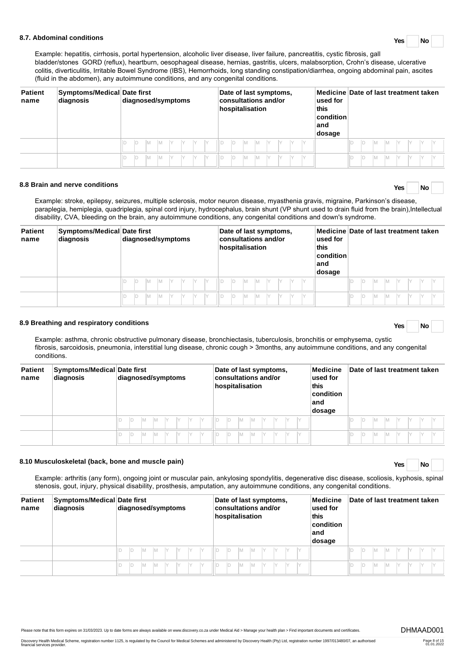# **8.7. Abdominal conditions Yes No**

Example: hepatitis, cirrhosis, portal hypertension, alcoholic liver disease, liver failure, pancreatitis, cystic fibrosis, gall bladder/stones GORD (reflux), heartburn, oesophageal disease, hernias, gastritis, ulcers, malabsorption, Crohn's disease, ulcerative colitis, diverticulitis, Irritable Bowel Syndrome (IBS), Hemorrhoids, long standing constipation/diarrhea, ongoing abdominal pain, ascites (fluid in the abdomen), any autoimmune conditions, and any congenital conditions.

| <b>Patient</b><br>name | Symptoms/Medical Date first<br>diagnosis | diagnosed/symptoms           | Date of last symptoms,<br>consultations and/or<br>hospitalisation | used for<br>this<br>$ $ condition $ $<br>∣and<br>dosage | Medicine Date of last treatment taken |
|------------------------|------------------------------------------|------------------------------|-------------------------------------------------------------------|---------------------------------------------------------|---------------------------------------|
|                        |                                          | ID<br>V<br>IY.<br>IM.<br>IM. | IY.<br>Y<br>M<br>IY.<br>ШС<br>M                                   |                                                         | ÍМ<br>Iм                              |
|                        |                                          | Y<br>ID<br>IM.<br>Y<br>M     | IY.<br>. II D<br>M<br>M<br>V<br>Y                                 |                                                         | ID<br>Iм<br>M                         |

# **8.8 Brain and nerve conditions Yes No**

Example: stroke, epilepsy, seizures, multiple sclerosis, motor neuron disease, myasthenia gravis, migraine, Parkinson's disease, paraplegia, hemiplegia, quadriplegia, spinal cord injury, hydrocephalus, brain shunt (VP shunt used to drain fluid from the brain),Intellectual disability, CVA, bleeding on the brain, any autoimmune conditions, any congenital conditions and down's syndrome.

| <b>Patient</b><br>name | Symptoms/Medical Date first<br>diagnosis | diagnosed/symptoms | Date of last symptoms,<br>consultations and/or<br>hospitalisation | Medicine Date of last treatment taken<br>used for<br>this<br>condition<br>∣and<br>dosage |
|------------------------|------------------------------------------|--------------------|-------------------------------------------------------------------|------------------------------------------------------------------------------------------|
|                        |                                          | M<br>D<br>M        | IM.<br>$\mathsf{I}$                                               | M<br>M<br>ID<br>IY                                                                       |
|                        |                                          | D<br><b>IM</b>     | IM.<br>IY                                                         | İМ<br>ID<br>M<br>IY.                                                                     |

# **8.9 Breathing and respiratory conditions Yes No**

Example: asthma, chronic obstructive pulmonary disease, bronchiectasis, tuberculosis, bronchitis or emphysema, cystic fibrosis, sarcoidosis, pneumonia, interstitial lung disease, chronic cough > 3months, any autoimmune conditions, and any congenital conditions.

| <b>Patient</b><br>name | Symptoms/Medical Date first<br>diagnosis | diagnosed/symptoms       | Medicine<br>Date of last symptoms,<br>consultations and/or<br>used for<br>this<br>hospitalisation<br>condition<br>land<br>dosage | Date of last treatment taken |
|------------------------|------------------------------------------|--------------------------|----------------------------------------------------------------------------------------------------------------------------------|------------------------------|
|                        |                                          | IY.<br>$\vee$<br>IY<br>М | M<br>IY                                                                                                                          | ID<br>Iм                     |
|                        |                                          | $\checkmark$<br>IY       |                                                                                                                                  | ID<br>IM.                    |

# **8.10 Musculoskeletal (back, bone and muscle pain) Yes No**

Example: arthritis (any form), ongoing joint or muscular pain, ankylosing spondylitis, degenerative disc disease, scoliosis, kyphosis, spinal stenosis, gout, injury, physical disability, prosthesis, amputation, any autoimmune conditions, any congenital conditions.

| <b>Patient</b><br>name | Symptoms/Medical Date first<br>diagnosis | diagnosed/symptoms | Medicine<br>Date of last symptoms,<br>consultations and/or<br>used for<br>this<br>hospitalisation<br>condition<br>∣and<br>dosage | Date of last treatment taken |
|------------------------|------------------------------------------|--------------------|----------------------------------------------------------------------------------------------------------------------------------|------------------------------|
|                        |                                          | M<br>IY<br>M       | D<br>IM.<br>M                                                                                                                    | ID<br>$\vee$<br>M            |
|                        |                                          | M<br>M             | M<br>M                                                                                                                           | ID<br>M                      |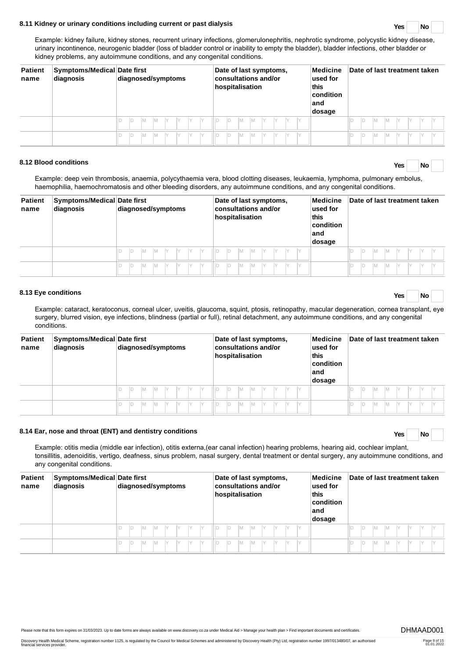# **8.11 Kidney or urinary conditions including current or past dialysis Yes No**

Example: kidney failure, kidney stones, recurrent urinary infections, glomerulonephritis, nephrotic syndrome, polycystic kidney disease, urinary incontinence, neurogenic bladder (loss of bladder control or inability to empty the bladder), bladder infections, other bladder or kidney problems, any autoimmune conditions, and any congenital conditions.

| <b>Patient</b><br>name | Symptoms/Medical Date first<br>diagnosis | diagnosed/symptoms                            | Date of last symptoms,<br>Medicine<br>consultations and/or<br>$ $ used for<br>hospitalisation<br>this<br>condition<br>∣and<br>dosage | Date of last treatment taken |
|------------------------|------------------------------------------|-----------------------------------------------|--------------------------------------------------------------------------------------------------------------------------------------|------------------------------|
|                        |                                          | IY.<br>- IY<br>М                              | D<br>IM.<br>IY<br>M                                                                                                                  | ID<br>M                      |
|                        |                                          | IY<br>IY<br>$\vee$<br>$\checkmark$<br>M<br>ID | Iм<br>IY.<br>M                                                                                                                       | ID<br>M                      |

# **8.12 Blood conditions Yes No**

Example: deep vein thrombosis, anaemia, polycythaemia vera, blood clotting diseases, leukaemia, lymphoma, pulmonary embolus, haemophilia, haemochromatosis and other bleeding disorders, any autoimmune conditions, and any congenital conditions.

| <b>Patient</b><br>name | Symptoms/Medical Date first<br>diagnosis | diagnosed/symptoms      | Medicine<br>Date of last symptoms,<br>consultations and/or<br>used for<br>hospitalisation<br>this<br>condition<br>∣and<br>dosage | Date of last treatment taken |
|------------------------|------------------------------------------|-------------------------|----------------------------------------------------------------------------------------------------------------------------------|------------------------------|
|                        |                                          | IY.<br>$\vee$<br>M<br>M | D<br>M<br>Iм                                                                                                                     | ID<br>M                      |
|                        |                                          | M<br>$\vee$<br>M<br>1Y. | D<br>M<br>M                                                                                                                      | ID<br>M                      |

# **8.13 Eye conditions Yes No**

Example: cataract, keratoconus, corneal ulcer, uveitis, glaucoma, squint, ptosis, retinopathy, macular degeneration, cornea transplant, eye surgery, blurred vision, eye infections, blindness (partial or full), retinal detachment, any autoimmune conditions, and any congenital conditions.

| <b>Patient</b><br>name | Symptoms/Medical Date first<br>diagnosis | diagnosed/symptoms               | Medicine<br>Date of last symptoms,<br>consultations and/or<br>used for<br>hospitalisation<br>this<br>$ $ condition<br>∣and<br>dosage | Date of last treatment taken |
|------------------------|------------------------------------------|----------------------------------|--------------------------------------------------------------------------------------------------------------------------------------|------------------------------|
|                        |                                          | IY.<br>$\vee$<br>- IY<br>M<br>IM | D<br>M<br>Iм<br>IY                                                                                                                   | ID<br>Iv<br>M                |
|                        |                                          | IY.<br>M<br>IY<br>M<br>M         | Iм<br>D<br>M                                                                                                                         | ID<br>M                      |

# **8.14 Ear, nose and throat (ENT) and dentistry conditions Yes No**

Example: otitis media (middle ear infection), otitis externa,(ear canal infection) hearing problems, hearing aid, cochlear implant, tonsillitis, adenoiditis, vertigo, deafness, sinus problem, nasal surgery, dental treatment or dental surgery, any autoimmune conditions, and any congenital conditions.

| <b>Patient</b><br>name | Symptoms/Medical Date first<br>diagnosis | diagnosed/symptoms | Medicine<br>Date of last symptoms,<br>consultations and/or<br>used for<br>hospitalisation<br>this<br>$ $ condition<br>∣and<br>dosage | Date of last treatment taken |
|------------------------|------------------------------------------|--------------------|--------------------------------------------------------------------------------------------------------------------------------------|------------------------------|
|                        |                                          | IY<br>M<br>M       | M                                                                                                                                    |                              |
|                        |                                          | Y<br>IY            | M<br>IY<br>M                                                                                                                         | ID                           |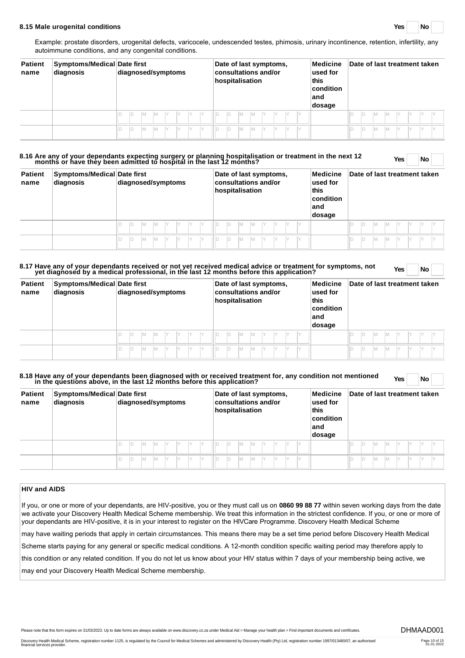#### **8.15 Male urogenital conditions Yes No**

Example: prostate disorders, urogenital defects, varicocele, undescended testes, phimosis, urinary incontinence, retention, infertility, any autoimmune conditions, and any congenital conditions.

| <b>Patient</b><br>name | Symptoms/Medical Date first<br>diagnosis | diagnosed/symptoms        | Date of last symptoms,<br>Medicine<br>consultations and/or<br>used for<br>hospitalisation<br>this<br>condition<br>land<br>dosage | Date of last treatment taken |
|------------------------|------------------------------------------|---------------------------|----------------------------------------------------------------------------------------------------------------------------------|------------------------------|
|                        |                                          | M<br>IY.<br>IY<br>IV<br>M | ID<br>M<br>IM.<br>IY<br>IY.                                                                                                      | ID<br>lм<br>Iм               |
|                        |                                          | M<br>IY<br>M              | D<br>IM.<br>IY<br>M                                                                                                              | Id<br>lм<br>M                |

# **8.16 Are any of your dependants expecting surgery or planning hospitalisation or treatment in the next 12 months or have they been admitted to hospital in the last 12 months? Yes No**

| Yes<br>'Nο |
|------------|
|------------|

| <b>Patient</b><br>name | Symptoms/Medical Date first<br>diagnosis | diagnosed/symptoms       |    | Medicine<br>Date of last symptoms,<br>consultations and/or<br>used for<br>hospitalisation<br>this<br>condition<br>∣and<br>dosage | Date of last treatment taken |
|------------------------|------------------------------------------|--------------------------|----|----------------------------------------------------------------------------------------------------------------------------------|------------------------------|
|                        |                                          | M<br>V<br>IY.<br>IY<br>M | IY | ID<br>IM.<br>M<br>IY<br>IY                                                                                                       | ID<br>Iv<br>IM.<br>IY<br>IM. |
|                        |                                          | M<br>Y<br>M              |    | IM.<br>ID<br>M<br>IY                                                                                                             | ID<br>IM.<br>IM.             |

# **8.17 Have any of your dependants received or not yet received medical advice or treatment for symptoms, not yet diagnosed by a medical professional, in the last 12 months before this application? Yes No**

| <b>Patient</b><br>name | Symptoms/Medical Date first<br>diagnosis | diagnosed/symptoms                  | Date of last symptoms,<br>Medicine<br>consultations and/or<br>used for<br>hospitalisation<br>this<br>condition<br>∣and<br>dosage | Date of last treatment taken |  |  |
|------------------------|------------------------------------------|-------------------------------------|----------------------------------------------------------------------------------------------------------------------------------|------------------------------|--|--|
|                        |                                          | Y<br>IY.<br>$\vee$<br>M<br>M<br>IY. | M<br>Y<br>M<br>IY                                                                                                                | ID<br>M                      |  |  |
|                        |                                          | $\vee$<br>ID<br>M<br>M              | Y<br>M<br>IY<br>M                                                                                                                | ID<br>M                      |  |  |

# **8.18 Have any of your dependants been diagnosed with or received treatment for, any condition not mentioned in the questions above, in the last 12 months before this application? Yes No**

| <b>Patient</b><br>name | Symptoms/Medical Date first<br>diagnosis | diagnosed/symptoms       | Date of last symptoms,<br>consultations and/or<br>hospitalisation<br>this<br>∣and | Date of last treatment taken<br>Medicine<br>used for<br>$ $ condition<br>dosage |
|------------------------|------------------------------------------|--------------------------|-----------------------------------------------------------------------------------|---------------------------------------------------------------------------------|
|                        |                                          | M<br>V<br>IY.<br>IY<br>M | ID<br>IM.<br>M                                                                    | ID<br>IM.<br>IM.                                                                |
|                        |                                          | IY<br>Y<br>M<br>M        | ID.<br>IM.<br>M<br>IY                                                             | ID<br>IM.<br>IM                                                                 |

# **HIV and AIDS**

If you, or one or more of your dependants, are HIV-positive, you or they must call us on **0860 99 88 77** within seven working days from the date we activate your Discovery Health Medical Scheme membership. We treat this information in the strictest confidence. If you, or one or more of your dependants are HIV-positive, it is in your interest to register on the HIVCare Programme. Discovery Health Medical Scheme

may have waiting periods that apply in certain circumstances. This means there may be a set time period before Discovery Health Medical

Scheme starts paying for any general or specific medical conditions. A 12-month condition specific waiting period may therefore apply to

this condition or any related condition. If you do not let us know about your HIV status within 7 days of your membership being active, we

may end your Discovery Health Medical Scheme membership.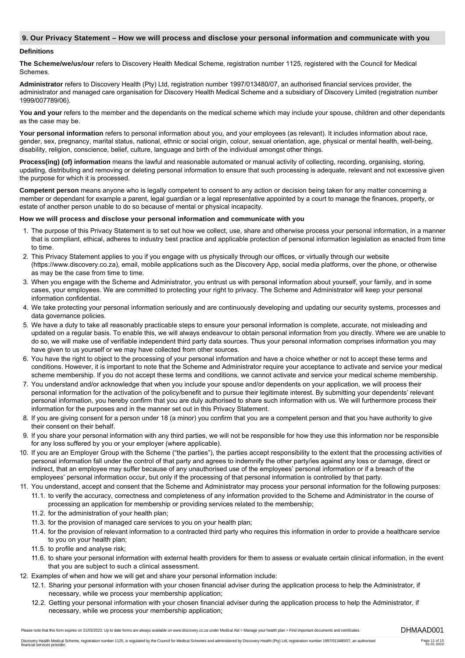# **9. Our Privacy Statement – How we will process and disclose your personal information and communicate with you**

### **Definitions**

**The Scheme/we/us/our** refers to Discovery Health Medical Scheme, registration number 1125, registered with the Council for Medical Schemes.

**Administrator** refers to Discovery Health (Pty) Ltd, registration number 1997/013480/07, an authorised financial services provider, the administrator and managed care organisation for Discovery Health Medical Scheme and a subsidiary of Discovery Limited (registration number 1999/007789/06).

You and your refers to the member and the dependants on the medical scheme which may include your spouse, children and other dependants as the case may be.

**Your personal information** refers to personal information about you, and your employees (as relevant). It includes information about race, gender, sex, pregnancy, marital status, national, ethnic or social origin, colour, sexual orientation, age, physical or mental health, well-being, disability, religion, conscience, belief, culture, language and birth of the individual amongst other things.

**Process(ing) (of) information** means the lawful and reasonable automated or manual activity of collecting, recording, organising, storing, updating, distributing and removing or deleting personal information to ensure that such processing is adequate, relevant and not excessive given the purpose for which it is processed.

**Competent person** means anyone who is legally competent to consent to any action or decision being taken for any matter concerning a member or dependant for example a parent, legal guardian or a legal representative appointed by a court to manage the finances, property, or estate of another person unable to do so because of mental or physical incapacity.

# **How we will process and disclose your personal information and communicate with you**

- 1. The purpose of this Privacy Statement is to set out how we collect, use, share and otherwise process your personal information, in a manner that is compliant, ethical, adheres to industry best practice and applicable protection of personal information legislation as enacted from time to time.
- 2. This Privacy Statement applies to you if you engage with us physically through our offices, or virtually through our website (https://www.discovery.co.za), email, mobile applications such as the Discovery App, social media platforms, over the phone, or otherwise as may be the case from time to time.
- 3. When you engage with the Scheme and Administrator, you entrust us with personal information about yourself, your family, and in some cases, your employees. We are committed to protecting your right to privacy. The Scheme and Administrator will keep your personal information confidential.
- 4. We take protecting your personal information seriously and are continuously developing and updating our security systems, processes and data governance policies.
- 5. We have a duty to take all reasonably practicable steps to ensure your personal information is complete, accurate, not misleading and updated on a regular basis. To enable this, we will always endeavour to obtain personal information from you directly. Where we are unable to do so, we will make use of verifiable independent third party data sources. Thus your personal information comprises information you may have given to us yourself or we may have collected from other sources.
- 6. You have the right to object to the processing of your personal information and have a choice whether or not to accept these terms and conditions. However, it is important to note that the Scheme and Administrator require your acceptance to activate and service your medical scheme membership. If you do not accept these terms and conditions, we cannot activate and service your medical scheme membership.
- 7. You understand and/or acknowledge that when you include your spouse and/or dependents on your application, we will process their personal information for the activation of the policy/benefit and to pursue their legitimate interest. By submitting your dependents' relevant personal information, you hereby confirm that you are duly authorised to share such information with us. We will furthermore process their information for the purposes and in the manner set out in this Privacy Statement.
- 8. If you are giving consent for a person under 18 (a minor) you confirm that you are a competent person and that you have authority to give their consent on their behalf.
- 9. If you share your personal information with any third parties, we will not be responsible for how they use this information nor be responsible for any loss suffered by you or your employer (where applicable).
- 10. If you are an Employer Group with the Scheme ("the parties"), the parties accept responsibility to the extent that the processing activities of personal information fall under the control of that party and agrees to indemnify the other party/ies against any loss or damage, direct or indirect, that an employee may suffer because of any unauthorised use of the employees' personal information or if a breach of the employees' personal information occur, but only if the processing of that personal information is controlled by that party.
- 11. You understand, accept and consent that the Scheme and Administrator may process your personal information for the following purposes:
	- 11.1. to verify the accuracy, correctness and completeness of any information provided to the Scheme and Administrator in the course of processing an application for membership or providing services related to the membership;
	- 11.2. for the administration of your health plan;
	- 11.3. for the provision of managed care services to you on your health plan;
	- 11.4. for the provision of relevant information to a contracted third party who requires this information in order to provide a healthcare service to you on your health plan;
	- 11.5. to profile and analyse risk;
	- 11.6. to share your personal information with external health providers for them to assess or evaluate certain clinical information, in the event that you are subject to such a clinical assessment.
- 12. Examples of when and how we will get and share your personal information include:
	- 12.1. Sharing your personal information with your chosen financial adviser during the application process to help the Administrator, if necessary, while we process your membership application;
	- 12.2. Getting your personal information with your chosen financial adviser during the application process to help the Administrator, if necessary, while we process your membership application;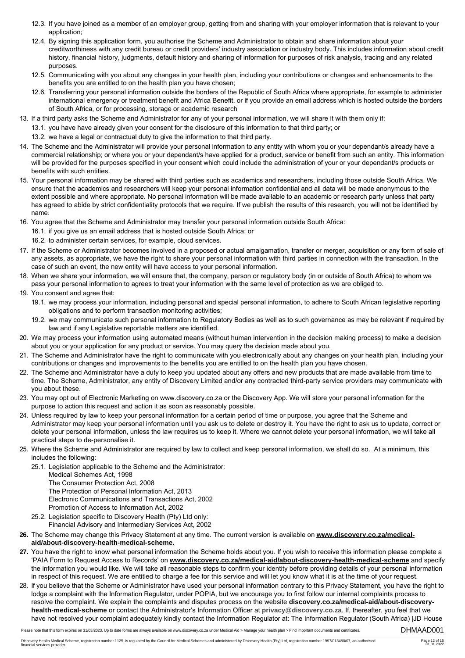- 12.3. If you have joined as a member of an employer group, getting from and sharing with your employer information that is relevant to your application;
- 12.4. By signing this application form, you authorise the Scheme and Administrator to obtain and share information about your creditworthiness with any credit bureau or credit providers' industry association or industry body. This includes information about credit history, financial history, judgments, default history and sharing of information for purposes of risk analysis, tracing and any related purposes.
- 12.5. Communicating with you about any changes in your health plan, including your contributions or changes and enhancements to the benefits you are entitled to on the health plan you have chosen;
- 12.6. Transferring your personal information outside the borders of the Republic of South Africa where appropriate, for example to administer international emergency or treatment benefit and Africa Benefit, or if you provide an email address which is hosted outside the borders of South Africa, or for processing, storage or academic research
- 13. If a third party asks the Scheme and Administrator for any of your personal information, we will share it with them only if:
	- 13.1. you have have already given your consent for the disclosure of this information to that third party; or
	- 13.2. we have a legal or contractual duty to give the information to that third party.
- 14. The Scheme and the Administrator will provide your personal information to any entity with whom you or your dependant/s already have a commercial relationship; or where you or your dependant/s have applied for a product, service or benefit from such an entity. This information will be provided for the purposes specified in your consent which could include the administration of your or your dependant/s products or benefits with such entities.
- 15. Your personal information may be shared with third parties such as academics and researchers, including those outside South Africa. We ensure that the academics and researchers will keep your personal information confidential and all data will be made anonymous to the extent possible and where appropriate. No personal information will be made available to an academic or research party unless that party has agreed to abide by strict confidentiality protocols that we require. If we publish the results of this research, you will not be identified by name.
- 16. You agree that the Scheme and Administrator may transfer your personal information outside South Africa:
	- 16.1. if you give us an email address that is hosted outside South Africa; or
	- 16.2. to administer certain services, for example, cloud services.
- 17. If the Scheme or Administrator becomes involved in a proposed or actual amalgamation, transfer or merger, acquisition or any form of sale of any assets, as appropriate, we have the right to share your personal information with third parties in connection with the transaction. In the case of such an event, the new entity will have access to your personal information.
- 18. When we share your information, we will ensure that, the company, person or regulatory body (in or outside of South Africa) to whom we pass your personal information to agrees to treat your information with the same level of protection as we are obliged to.
- 19. You consent and agree that:
	- 19.1. we may process your information, including personal and special personal information, to adhere to South African legislative reporting obligations and to perform transaction monitoring activities;
	- 19.2. we may communicate such personal information to Regulatory Bodies as well as to such governance as may be relevant if required by law and if any Legislative reportable matters are identified.
- 20. We may process your information using automated means (without human intervention in the decision making process) to make a decision about you or your application for any product or service. You may query the decision made about you.
- 21. The Scheme and Administrator have the right to communicate with you electronically about any changes on your health plan, including your contributions or changes and improvements to the benefits you are entitled to on the health plan you have chosen.
- 22. The Scheme and Administrator have a duty to keep you updated about any offers and new products that are made available from time to time. The Scheme, Administrator, any entity of Discovery Limited and/or any contracted third-party service providers may communicate with you about these.
- 23. You may opt out of Electronic Marketing on www.discovery.co.za or the Discovery App. We will store your personal information for the purpose to action this request and action it as soon as reasonably possible.
- 24. Unless required by law to keep your personal information for a certain period of time or purpose, you agree that the Scheme and Administrator may keep your personal information until you ask us to delete or destroy it. You have the right to ask us to update, correct or delete your personal information, unless the law requires us to keep it. Where we cannot delete your personal information, we will take all practical steps to de-personalise it.
- 25. Where the Scheme and Administrator are required by law to collect and keep personal information, we shall do so. At a minimum, this includes the following:
	- 25.1. Legislation applicable to the Scheme and the Administrator:
		- Medical Schemes Act, 1998
		- The Consumer Protection Act, 2008
		- The Protection of Personal Information Act, 2013 Electronic Communications and Transactions Act, 2002 Promotion of Access to Information Act, 2002
		-
	- 25.2. Legislation specific to Discovery Health (Pty) Ltd only: Financial Advisory and Intermediary Services Act, 2002
- **26.** The Scheme may change this Privacy Statement at any time. The current version is available on **www.discovery.co.za/medicalaid/about-discovery-health-medical-scheme.**
- **27.** You have the right to know what personal information the Scheme holds about you. If you wish to receive this information please complete a 'PAIA Form to Request Access to Records' on **www.discovery.co.za/medical-aid/about-discovery-health-medical-scheme** and specify the information you would like. We will take all reasonable steps to confirm your identity before providing details of your personal information in respect of this request. We are entitled to charge a fee for this service and will let you know what it is at the time of your request.
- 28. If you believe that the Scheme or Administrator have used your personal information contrary to this Privacy Statement, you have the right to lodge a complaint with the Information Regulator, under POPIA, but we encourage you to first follow our internal complaints process to resolve the complaint. We explain the complaints and disputes process on the website **discovery.co.za/medical-aid/about-discoveryhealth-medical-scheme** or contact the Administrator's Information Officer at **[privacy@discovery.co.za](mailto:privacy@discovery.co.za)**. If, thereafter, you feel that we have not resolved your complaint adequately kindly contact the Information Regulator at: The Information Regulator (South Africa) |JD House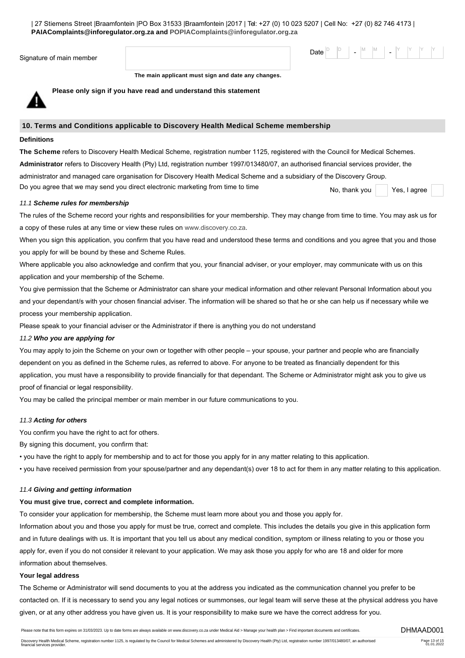| 27 Stiemens Street |Braamfontein |PO Box 31533 |Braamfontein |2017 | Tel: +27 (0) 10 023 5207 | Cell No: +27 (0) 82 746 4173 | **PAIAComplaints@inforegulator.org.za and [POPIAComplaints@inforegulator.org.za](mailto:POPIAComplaints@inforegulator.org.za)**

| Signature of main member |
|--------------------------|
|--------------------------|

Date  $\begin{bmatrix} \mathsf{D} & \mathsf{P} \end{bmatrix}$  -  $\begin{bmatrix} \mathsf{M} & \mathsf{M} \end{bmatrix}$  -  $\begin{bmatrix} \mathsf{Y} & \mathsf{Y} \end{bmatrix}$   $\begin{bmatrix} \mathsf{Y} & \mathsf{Y} \end{bmatrix}$ 

**The main applicant must sign and date any changes.**



**Please only sign if you have read and understand this statement**

# **10. Terms and Conditions applicable to Discovery Health Medical Scheme membership**

### **Definitions**

**The Scheme** refers to Discovery Health Medical Scheme, registration number 1125, registered with the Council for Medical Schemes. **Administrator** refers to Discovery Health (Pty) Ltd, registration number 1997/013480/07, an authorised financial services provider, the administrator and managed care organisation for Discovery Health Medical Scheme and a subsidiary of the Discovery Group. Do you agree that we may send you direct electronic marketing from time to time No, thank you No, thank you

# *11.1 Scheme rules for membership*

The rules of the Scheme record your rights and responsibilities for your membership. They may change from time to time. You may ask us for a copy of these rules at any time or view these rules on [www.discovery.co.za](http://www.discovery.co.za).

When you sign this application, you confirm that you have read and understood these terms and conditions and you agree that you and those you apply for will be bound by these and Scheme Rules.

Where applicable you also acknowledge and confirm that you, your financial adviser, or your employer, may communicate with us on this application and your membership of the Scheme.

You give permission that the Scheme or Administrator can share your medical information and other relevant Personal Information about you and your dependant/s with your chosen financial adviser. The information will be shared so that he or she can help us if necessary while we process your membership application.

Please speak to your financial adviser or the Administrator if there is anything you do not understand

# *11.2 Who you are applying for*

You may apply to join the Scheme on your own or together with other people – your spouse, your partner and people who are financially dependent on you as defined in the Scheme rules, as referred to above. For anyone to be treated as financially dependent for this application, you must have a responsibility to provide financially for that dependant. The Scheme or Administrator might ask you to give us proof of financial or legal responsibility.

You may be called the principal member or main member in our future communications to you.

# *11.3 Acting for others*

You confirm you have the right to act for others.

By signing this document, you confirm that:

• you have the right to apply for membership and to act for those you apply for in any matter relating to this application.

• you have received permission from your spouse/partner and any dependant(s) over 18 to act for them in any matter relating to this application.

# *11.4 Giving and getting information*

# **You must give true, correct and complete information.**

To consider your application for membership, the Scheme must learn more about you and those you apply for.

Information about you and those you apply for must be true, correct and complete. This includes the details you give in this application form and in future dealings with us. It is important that you tell us about any medical condition, symptom or illness relating to you or those you apply for, even if you do not consider it relevant to your application. We may ask those you apply for who are 18 and older for more information about themselves.

#### **Your legal address**

The Scheme or Administrator will send documents to you at the address you indicated as the communication channel you prefer to be contacted on. If it is necessary to send you any legal notices or summonses, our legal team will serve these at the physical address you have given, or at any other address you have given us. It is your responsibility to make sure we have the correct address for you.

Please note that this form expires on 31/03/2023. Up to date forms are always available on www.discovery.co.za under Medical Aid > Manage your health plan > Find important documents and certificates.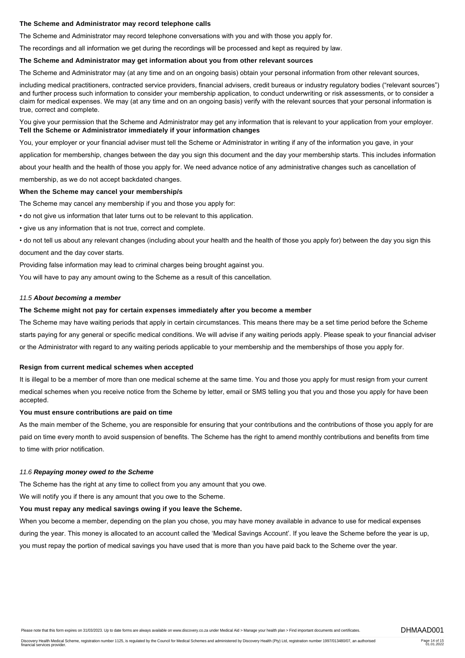# **The Scheme and Administrator may record telephone calls**

The Scheme and Administrator may record telephone conversations with you and with those you apply for.

The recordings and all information we get during the recordings will be processed and kept as required by law.

#### **The Scheme and Administrator may get information about you from other relevant sources**

The Scheme and Administrator may (at any time and on an ongoing basis) obtain your personal information from other relevant sources,

including medical practitioners, contracted service providers, financial advisers, credit bureaus or industry regulatory bodies ("relevant sources") and further process such information to consider your membership application, to conduct underwriting or risk assessments, or to consider a claim for medical expenses. We may (at any time and on an ongoing basis) verify with the relevant sources that your personal information is true, correct and complete.

You give your permission that the Scheme and Administrator may get any information that is relevant to your application from your employer. **Tell the Scheme or Administrator immediately if your information changes**

You, your employer or your financial adviser must tell the Scheme or Administrator in writing if any of the information you gave, in your

application for membership, changes between the day you sign this document and the day your membership starts. This includes information

about your health and the health of those you apply for. We need advance notice of any administrative changes such as cancellation of membership, as we do not accept backdated changes.

# **When the Scheme may cancel your membership/s**

The Scheme may cancel any membership if you and those you apply for:

• do not give us information that later turns out to be relevant to this application.

• give us any information that is not true, correct and complete.

• do not tell us about any relevant changes (including about your health and the health of those you apply for) between the day you sign this document and the day cover starts.

Providing false information may lead to criminal charges being brought against you.

You will have to pay any amount owing to the Scheme as a result of this cancellation.

#### *11.5 About becoming a member*

#### **The Scheme might not pay for certain expenses immediately after you become a member**

The Scheme may have waiting periods that apply in certain circumstances. This means there may be a set time period before the Scheme starts paying for any general or specific medical conditions. We will advise if any waiting periods apply. Please speak to your financial adviser or the Administrator with regard to any waiting periods applicable to your membership and the memberships of those you apply for.

#### **Resign from current medical schemes when accepted**

It is illegal to be a member of more than one medical scheme at the same time. You and those you apply for must resign from your current medical schemes when you receive notice from the Scheme by letter, email or SMS telling you that you and those you apply for have been accepted.

#### **You must ensure contributions are paid on time**

As the main member of the Scheme, you are responsible for ensuring that your contributions and the contributions of those you apply for are paid on time every month to avoid suspension of benefits. The Scheme has the right to amend monthly contributions and benefits from time to time with prior notification.

#### *11.6 Repaying money owed to the Scheme*

The Scheme has the right at any time to collect from you any amount that you owe.

We will notify you if there is any amount that you owe to the Scheme.

# **You must repay any medical savings owing if you leave the Scheme.**

When you become a member, depending on the plan you chose, you may have money available in advance to use for medical expenses during the year. This money is allocated to an account called the 'Medical Savings Account'. If you leave the Scheme before the year is up, you must repay the portion of medical savings you have used that is more than you have paid back to the Scheme over the year.